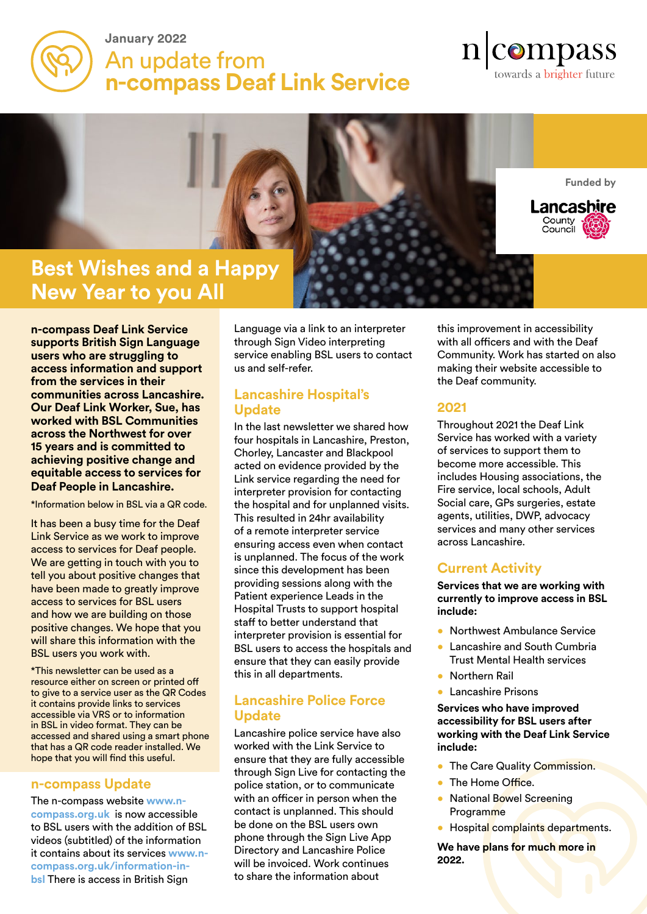

## **January 2022**  An update from **n-compass Deaf Link Service**

# $n$ |compass towards a brighter future

**Funded by**

Lancashire

County<br>Council



**n-compass Deaf Link Service supports British Sign Language users who are struggling to access information and support from the services in their communities across Lancashire. Our Deaf Link Worker, Sue, has worked with BSL Communities across the Northwest for over 15 years and is committed to achieving positive change and equitable access to services for Deaf People in Lancashire.**

\*Information below in BSL via a QR code.

It has been a busy time for the Deaf Link Service as we work to improve access to services for Deaf people. We are getting in touch with you to tell you about positive changes that have been made to greatly improve access to services for BSL users and how we are building on those positive changes. We hope that you will share this information with the BSL users you work with.

\*This newsletter can be used as a resource either on screen or printed off to give to a service user as the QR Codes it contains provide links to services accessible via VRS or to information in BSL in video format. They can be accessed and shared using a smart phone that has a QR code reader installed. We hope that you will find this useful.

#### **n-compass Update**

The n-compass website **www.ncompass.org.uk** is now accessible to BSL users with the addition of BSL videos (subtitled) of the information it contains about its services **www.ncompass.org.uk/information-inbsl** There is access in British Sign

Language via a link to an interpreter through Sign Video interpreting service enabling BSL users to contact us and self-refer.

#### **Lancashire Hospital's Update**

In the last newsletter we shared how four hospitals in Lancashire, Preston, Chorley, Lancaster and Blackpool acted on evidence provided by the Link service regarding the need for interpreter provision for contacting the hospital and for unplanned visits. This resulted in 24hr availability of a remote interpreter service ensuring access even when contact is unplanned. The focus of the work since this development has been providing sessions along with the Patient experience Leads in the Hospital Trusts to support hospital staff to better understand that interpreter provision is essential for BSL users to access the hospitals and ensure that they can easily provide this in all departments.

#### **Lancashire Police Force Update**

Lancashire police service have also worked with the Link Service to ensure that they are fully accessible through Sign Live for contacting the police station, or to communicate with an officer in person when the contact is unplanned. This should be done on the BSL users own phone through the Sign Live App Directory and Lancashire Police will be invoiced. Work continues to share the information about

this improvement in accessibility with all officers and with the Deaf Community. Work has started on also making their website accessible to the Deaf community.

#### **2021**

Throughout 2021 the Deaf Link Service has worked with a variety of services to support them to become more accessible. This includes Housing associations, the Fire service, local schools, Adult Social care, GPs surgeries, estate agents, utilities, DWP, advocacy services and many other services across Lancashire.

### **Current Activity**

**Services that we are working with currently to improve access in BSL include:**

- **Northwest Ambulance Service**
- Lancashire and South Cumbria Trust Mental Health services
- Northern Rail
- Lancashire Prisons

**Services who have improved accessibility for BSL users after working with the Deaf Link Service include:**

- **The Care Quality Commission.**
- The Home Office.
- National Bowel Screening Programme
- Hospital complaints departments.

**We have plans for much more in 2022.**